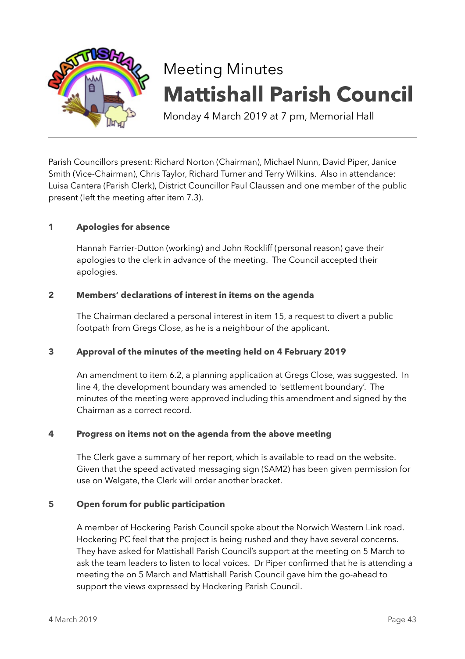

# Meeting Minutes **Mattishall Parish Council**

Monday 4 March 2019 at 7 pm, Memorial Hall

Parish Councillors present: Richard Norton (Chairman), Michael Nunn, David Piper, Janice Smith (Vice-Chairman), Chris Taylor, Richard Turner and Terry Wilkins. Also in attendance: Luisa Cantera (Parish Clerk), District Councillor Paul Claussen and one member of the public present (left the meeting after item 7.3).

# **1 Apologies for absence**

Hannah Farrier-Dutton (working) and John Rockliff (personal reason) gave their apologies to the clerk in advance of the meeting. The Council accepted their apologies.

## **2 Members' declarations of interest in items on the agenda**

The Chairman declared a personal interest in item 15, a request to divert a public footpath from Gregs Close, as he is a neighbour of the applicant.

## **3 Approval of the minutes of the meeting held on 4 February 2019**

An amendment to item 6.2, a planning application at Gregs Close, was suggested. In line 4, the development boundary was amended to 'settlement boundary'. The minutes of the meeting were approved including this amendment and signed by the Chairman as a correct record.

#### **4 Progress on items not on the agenda from the above meeting**

The Clerk gave a summary of her report, which is available to read on the website. Given that the speed activated messaging sign (SAM2) has been given permission for use on Welgate, the Clerk will order another bracket.

#### **5 Open forum for public participation**

A member of Hockering Parish Council spoke about the Norwich Western Link road. Hockering PC feel that the project is being rushed and they have several concerns. They have asked for Mattishall Parish Council's support at the meeting on 5 March to ask the team leaders to listen to local voices. Dr Piper confirmed that he is attending a meeting the on 5 March and Mattishall Parish Council gave him the go-ahead to support the views expressed by Hockering Parish Council.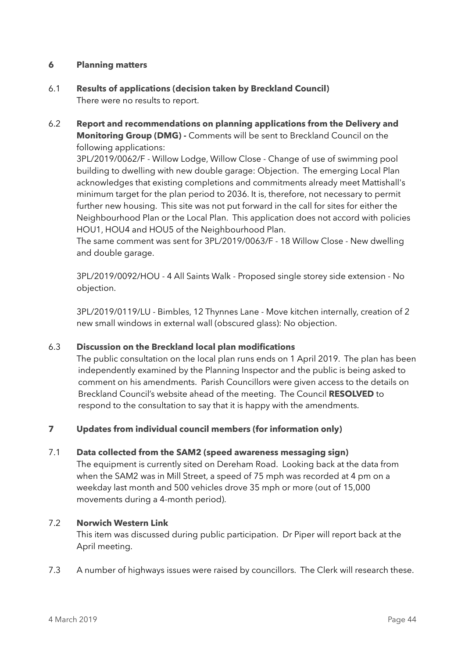## **6 Planning matters**

- 6.1 **Results of applications (decision taken by Breckland Council)** There were no results to report.
- 6.2 **Report and recommendations on planning applications from the Delivery and Monitoring Group (DMG) -** Comments will be sent to Breckland Council on the following applications:

3PL/2019/0062/F - Willow Lodge, Willow Close - Change of use of swimming pool building to dwelling with new double garage: Objection. The emerging Local Plan acknowledges that existing completions and commitments already meet Mattishall's minimum target for the plan period to 2036. It is, therefore, not necessary to permit further new housing. This site was not put forward in the call for sites for either the Neighbourhood Plan or the Local Plan. This application does not accord with policies HOU1, HOU4 and HOU5 of the Neighbourhood Plan.

The same comment was sent for 3PL/2019/0063/F - 18 Willow Close - New dwelling and double garage.

3PL/2019/0092/HOU - 4 All Saints Walk - Proposed single storey side extension - No objection.

3PL/2019/0119/LU - Bimbles, 12 Thynnes Lane - Move kitchen internally, creation of 2 new small windows in external wall (obscured glass): No objection.

## 6.3 **Discussion on the Breckland local plan modifications**

 The public consultation on the local plan runs ends on 1 April 2019. The plan has been independently examined by the Planning Inspector and the public is being asked to comment on his amendments. Parish Councillors were given access to the details on Breckland Council's website ahead of the meeting. The Council **RESOLVED** to respond to the consultation to say that it is happy with the amendments.

## **7 Updates from individual council members (for information only)**

## 7.1 **Data collected from the SAM2 (speed awareness messaging sign)**

The equipment is currently sited on Dereham Road. Looking back at the data from when the SAM2 was in Mill Street, a speed of 75 mph was recorded at 4 pm on a weekday last month and 500 vehicles drove 35 mph or more (out of 15,000 movements during a 4-month period).

## 7.2 **Norwich Western Link**

This item was discussed during public participation. Dr Piper will report back at the April meeting.

7.3 A number of highways issues were raised by councillors. The Clerk will research these.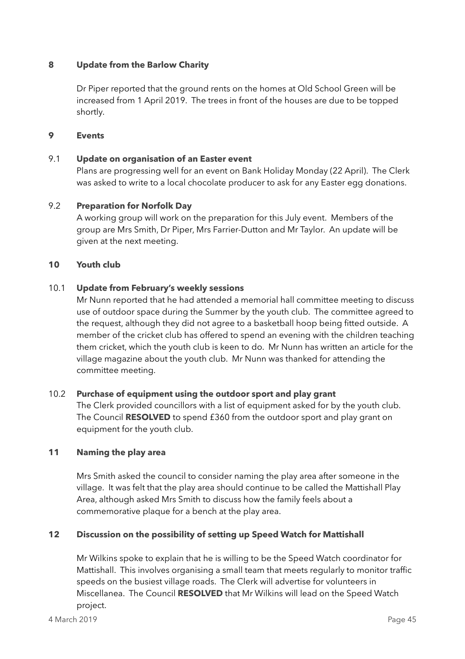## **8 Update from the Barlow Charity**

Dr Piper reported that the ground rents on the homes at Old School Green will be increased from 1 April 2019. The trees in front of the houses are due to be topped shortly.

#### **9 Events**

## 9.1 **Update on organisation of an Easter event**

Plans are progressing well for an event on Bank Holiday Monday (22 April). The Clerk was asked to write to a local chocolate producer to ask for any Easter egg donations.

## 9.2 **Preparation for Norfolk Day**

A working group will work on the preparation for this July event. Members of the group are Mrs Smith, Dr Piper, Mrs Farrier-Dutton and Mr Taylor. An update will be given at the next meeting.

#### **10 Youth club**

## 10.1 **Update from February's weekly sessions**

Mr Nunn reported that he had attended a memorial hall committee meeting to discuss use of outdoor space during the Summer by the youth club. The committee agreed to the request, although they did not agree to a basketball hoop being fitted outside. A member of the cricket club has offered to spend an evening with the children teaching them cricket, which the youth club is keen to do. Mr Nunn has written an article for the village magazine about the youth club. Mr Nunn was thanked for attending the committee meeting.

#### 10.2 **Purchase of equipment using the outdoor sport and play grant**

The Clerk provided councillors with a list of equipment asked for by the youth club. The Council **RESOLVED** to spend £360 from the outdoor sport and play grant on equipment for the youth club.

#### **11 Naming the play area**

Mrs Smith asked the council to consider naming the play area after someone in the village. It was felt that the play area should continue to be called the Mattishall Play Area, although asked Mrs Smith to discuss how the family feels about a commemorative plaque for a bench at the play area.

## **12 Discussion on the possibility of setting up Speed Watch for Mattishall**

Mr Wilkins spoke to explain that he is willing to be the Speed Watch coordinator for Mattishall. This involves organising a small team that meets regularly to monitor traffic speeds on the busiest village roads. The Clerk will advertise for volunteers in Miscellanea. The Council **RESOLVED** that Mr Wilkins will lead on the Speed Watch project.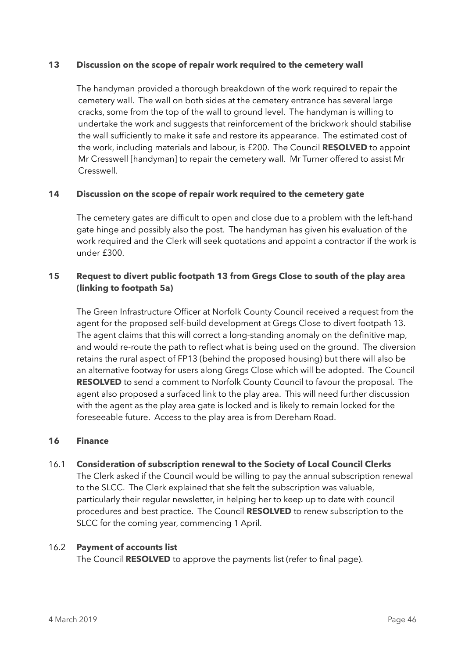#### **13 Discussion on the scope of repair work required to the cemetery wall**

 The handyman provided a thorough breakdown of the work required to repair the cemetery wall. The wall on both sides at the cemetery entrance has several large cracks, some from the top of the wall to ground level. The handyman is willing to undertake the work and suggests that reinforcement of the brickwork should stabilise the wall sufficiently to make it safe and restore its appearance. The estimated cost of the work, including materials and labour, is £200. The Council **RESOLVED** to appoint Mr Cresswell [handyman] to repair the cemetery wall. Mr Turner offered to assist Mr Cresswell.

## **14 Discussion on the scope of repair work required to the cemetery gate**

The cemetery gates are difficult to open and close due to a problem with the left-hand gate hinge and possibly also the post. The handyman has given his evaluation of the work required and the Clerk will seek quotations and appoint a contractor if the work is under £300.

# **15 Request to divert public footpath 13 from Gregs Close to south of the play area (linking to footpath 5a)**

The Green Infrastructure Officer at Norfolk County Council received a request from the agent for the proposed self-build development at Gregs Close to divert footpath 13. The agent claims that this will correct a long-standing anomaly on the definitive map, and would re-route the path to reflect what is being used on the ground. The diversion retains the rural aspect of FP13 (behind the proposed housing) but there will also be an alternative footway for users along Gregs Close which will be adopted. The Council **RESOLVED** to send a comment to Norfolk County Council to favour the proposal. The agent also proposed a surfaced link to the play area. This will need further discussion with the agent as the play area gate is locked and is likely to remain locked for the foreseeable future. Access to the play area is from Dereham Road.

## **16 Finance**

# 16.1 **Consideration of subscription renewal to the Society of Local Council Clerks**  The Clerk asked if the Council would be willing to pay the annual subscription renewal to the SLCC. The Clerk explained that she felt the subscription was valuable, particularly their regular newsletter, in helping her to keep up to date with council procedures and best practice. The Council **RESOLVED** to renew subscription to the

## 16.2 **Payment of accounts list**

The Council **RESOLVED** to approve the payments list (refer to final page).

SLCC for the coming year, commencing 1 April.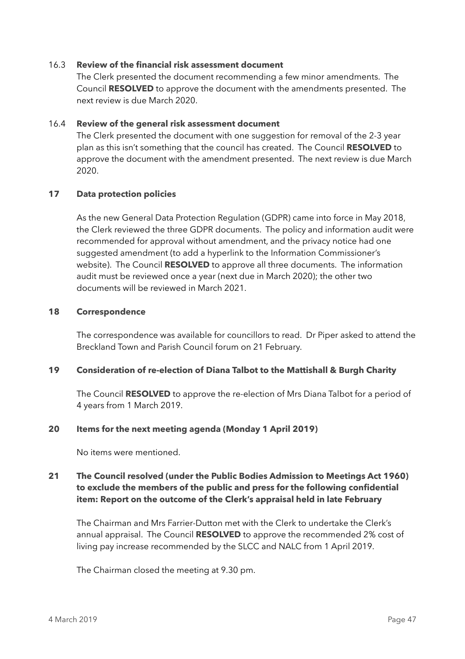#### 16.3 **Review of the financial risk assessment document**

The Clerk presented the document recommending a few minor amendments. The Council **RESOLVED** to approve the document with the amendments presented. The next review is due March 2020.

#### 16.4 **Review of the general risk assessment document**

The Clerk presented the document with one suggestion for removal of the 2-3 year plan as this isn't something that the council has created. The Council **RESOLVED** to approve the document with the amendment presented. The next review is due March 2020.

## **17 Data protection policies**

As the new General Data Protection Regulation (GDPR) came into force in May 2018, the Clerk reviewed the three GDPR documents. The policy and information audit were recommended for approval without amendment, and the privacy notice had one suggested amendment (to add a hyperlink to the Information Commissioner's website). The Council **RESOLVED** to approve all three documents. The information audit must be reviewed once a year (next due in March 2020); the other two documents will be reviewed in March 2021.

## **18 Correspondence**

The correspondence was available for councillors to read. Dr Piper asked to attend the Breckland Town and Parish Council forum on 21 February.

## **19 Consideration of re-election of Diana Talbot to the Mattishall & Burgh Charity**

The Council **RESOLVED** to approve the re-election of Mrs Diana Talbot for a period of 4 years from 1 March 2019.

#### **20 Items for the next meeting agenda (Monday 1 April 2019)**

No items were mentioned.

# **21 The Council resolved (under the Public Bodies Admission to Meetings Act 1960) to exclude the members of the public and press for the following confidential item: Report on the outcome of the Clerk's appraisal held in late February**

The Chairman and Mrs Farrier-Dutton met with the Clerk to undertake the Clerk's annual appraisal. The Council **RESOLVED** to approve the recommended 2% cost of living pay increase recommended by the SLCC and NALC from 1 April 2019.

The Chairman closed the meeting at 9.30 pm.